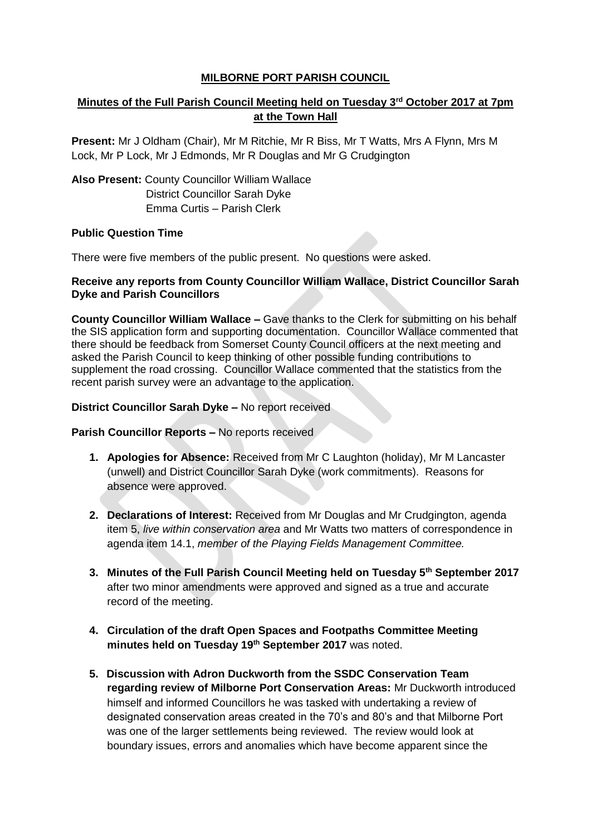## **MILBORNE PORT PARISH COUNCIL**

# **Minutes of the Full Parish Council Meeting held on Tuesday 3rd October 2017 at 7pm at the Town Hall**

**Present:** Mr J Oldham (Chair), Mr M Ritchie, Mr R Biss, Mr T Watts, Mrs A Flynn, Mrs M Lock, Mr P Lock, Mr J Edmonds, Mr R Douglas and Mr G Crudgington

**Also Present:** County Councillor William Wallace District Councillor Sarah Dyke Emma Curtis – Parish Clerk

## **Public Question Time**

There were five members of the public present. No questions were asked.

### **Receive any reports from County Councillor William Wallace, District Councillor Sarah Dyke and Parish Councillors**

**County Councillor William Wallace –** Gave thanks to the Clerk for submitting on his behalf the SIS application form and supporting documentation. Councillor Wallace commented that there should be feedback from Somerset County Council officers at the next meeting and asked the Parish Council to keep thinking of other possible funding contributions to supplement the road crossing. Councillor Wallace commented that the statistics from the recent parish survey were an advantage to the application.

#### **District Councillor Sarah Dyke –** No report received

#### **Parish Councillor Reports –** No reports received

- **1. Apologies for Absence:** Received from Mr C Laughton (holiday), Mr M Lancaster (unwell) and District Councillor Sarah Dyke (work commitments). Reasons for absence were approved.
- **2. Declarations of Interest:** Received from Mr Douglas and Mr Crudgington, agenda item 5, *live within conservation area* and Mr Watts two matters of correspondence in agenda item 14.1, *member of the Playing Fields Management Committee.*
- **3. Minutes of the Full Parish Council Meeting held on Tuesday 5th September 2017**  after two minor amendments were approved and signed as a true and accurate record of the meeting.
- **4. Circulation of the draft Open Spaces and Footpaths Committee Meeting minutes held on Tuesday 19th September 2017** was noted.
- **5. Discussion with Adron Duckworth from the SSDC Conservation Team regarding review of Milborne Port Conservation Areas:** Mr Duckworth introduced himself and informed Councillors he was tasked with undertaking a review of designated conservation areas created in the 70's and 80's and that Milborne Port was one of the larger settlements being reviewed. The review would look at boundary issues, errors and anomalies which have become apparent since the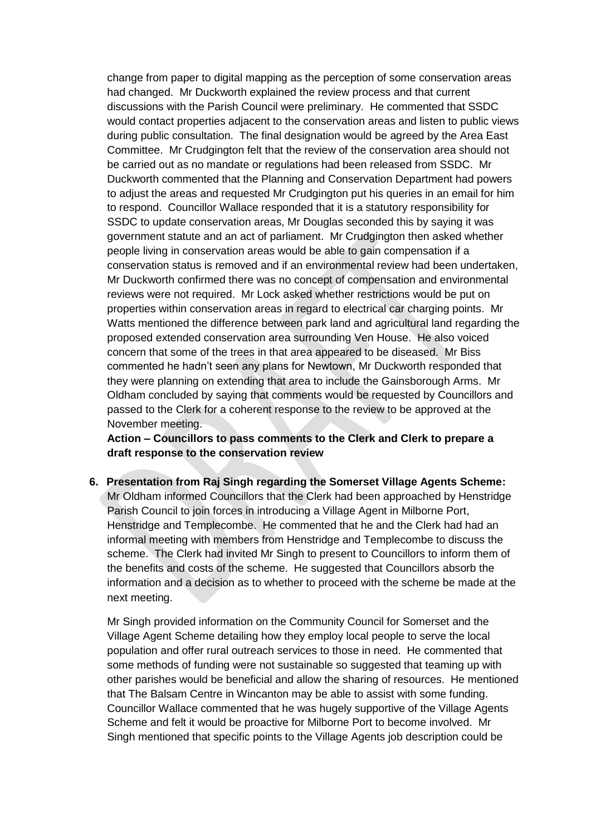change from paper to digital mapping as the perception of some conservation areas had changed. Mr Duckworth explained the review process and that current discussions with the Parish Council were preliminary. He commented that SSDC would contact properties adjacent to the conservation areas and listen to public views during public consultation. The final designation would be agreed by the Area East Committee. Mr Crudgington felt that the review of the conservation area should not be carried out as no mandate or regulations had been released from SSDC. Mr Duckworth commented that the Planning and Conservation Department had powers to adjust the areas and requested Mr Crudgington put his queries in an email for him to respond. Councillor Wallace responded that it is a statutory responsibility for SSDC to update conservation areas, Mr Douglas seconded this by saying it was government statute and an act of parliament. Mr Crudgington then asked whether people living in conservation areas would be able to gain compensation if a conservation status is removed and if an environmental review had been undertaken, Mr Duckworth confirmed there was no concept of compensation and environmental reviews were not required. Mr Lock asked whether restrictions would be put on properties within conservation areas in regard to electrical car charging points. Mr Watts mentioned the difference between park land and agricultural land regarding the proposed extended conservation area surrounding Ven House. He also voiced concern that some of the trees in that area appeared to be diseased. Mr Biss commented he hadn't seen any plans for Newtown, Mr Duckworth responded that they were planning on extending that area to include the Gainsborough Arms. Mr Oldham concluded by saying that comments would be requested by Councillors and passed to the Clerk for a coherent response to the review to be approved at the November meeting.

**Action – Councillors to pass comments to the Clerk and Clerk to prepare a draft response to the conservation review**

**6. Presentation from Raj Singh regarding the Somerset Village Agents Scheme:**  Mr Oldham informed Councillors that the Clerk had been approached by Henstridge Parish Council to join forces in introducing a Village Agent in Milborne Port, Henstridge and Templecombe. He commented that he and the Clerk had had an informal meeting with members from Henstridge and Templecombe to discuss the scheme. The Clerk had invited Mr Singh to present to Councillors to inform them of the benefits and costs of the scheme. He suggested that Councillors absorb the information and a decision as to whether to proceed with the scheme be made at the next meeting.

Mr Singh provided information on the Community Council for Somerset and the Village Agent Scheme detailing how they employ local people to serve the local population and offer rural outreach services to those in need. He commented that some methods of funding were not sustainable so suggested that teaming up with other parishes would be beneficial and allow the sharing of resources. He mentioned that The Balsam Centre in Wincanton may be able to assist with some funding. Councillor Wallace commented that he was hugely supportive of the Village Agents Scheme and felt it would be proactive for Milborne Port to become involved. Mr Singh mentioned that specific points to the Village Agents job description could be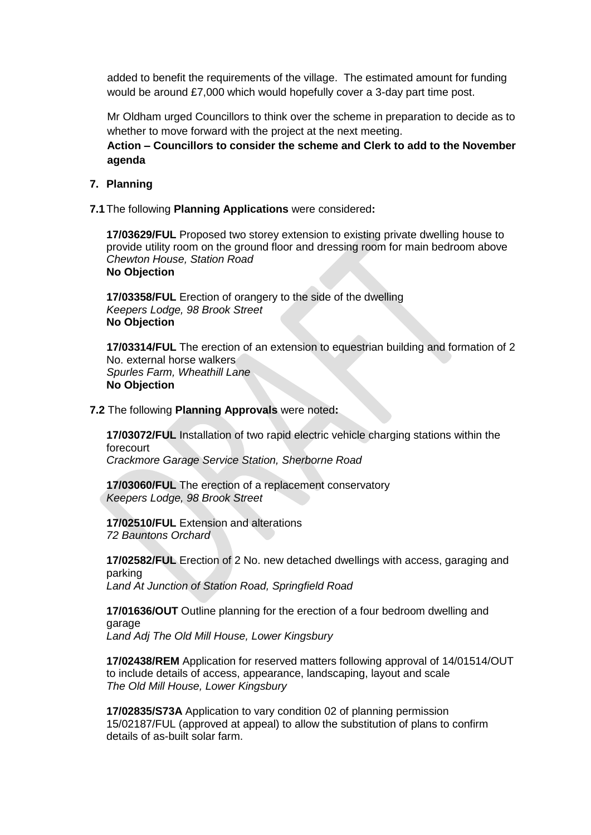added to benefit the requirements of the village. The estimated amount for funding would be around £7,000 which would hopefully cover a 3-day part time post.

Mr Oldham urged Councillors to think over the scheme in preparation to decide as to whether to move forward with the project at the next meeting.

**Action – Councillors to consider the scheme and Clerk to add to the November agenda**

#### **7. Planning**

 **7.1**The following **Planning Applications** were considered**:**

**17/03629/FUL** Proposed two storey extension to existing private dwelling house to provide utility room on the ground floor and dressing room for main bedroom above *Chewton House, Station Road* **No Objection**

**17/03358/FUL** Erection of orangery to the side of the dwelling *Keepers Lodge, 98 Brook Street* **No Objection**

**17/03314/FUL** The erection of an extension to equestrian building and formation of 2 No. external horse walkers *Spurles Farm, Wheathill Lane* **No Objection**

#### **7.2** The following **Planning Approvals** were noted**:**

**17/03072/FUL** Installation of two rapid electric vehicle charging stations within the forecourt *Crackmore Garage Service Station, Sherborne Road*

**17/03060/FUL** The erection of a replacement conservatory

*Keepers Lodge, 98 Brook Street*

**17/02510/FUL** Extension and alterations *72 Bauntons Orchard* 

**17/02582/FUL** Erection of 2 No. new detached dwellings with access, garaging and parking

*Land At Junction of Station Road, Springfield Road*

**17/01636/OUT** Outline planning for the erection of a four bedroom dwelling and garage *Land Adj The Old Mill House, Lower Kingsbury*

**17/02438/REM** Application for reserved matters following approval of 14/01514/OUT to include details of access, appearance, landscaping, layout and scale *The Old Mill House, Lower Kingsbury*

**17/02835/S73A** Application to vary condition 02 of planning permission 15/02187/FUL (approved at appeal) to allow the substitution of plans to confirm details of as-built solar farm.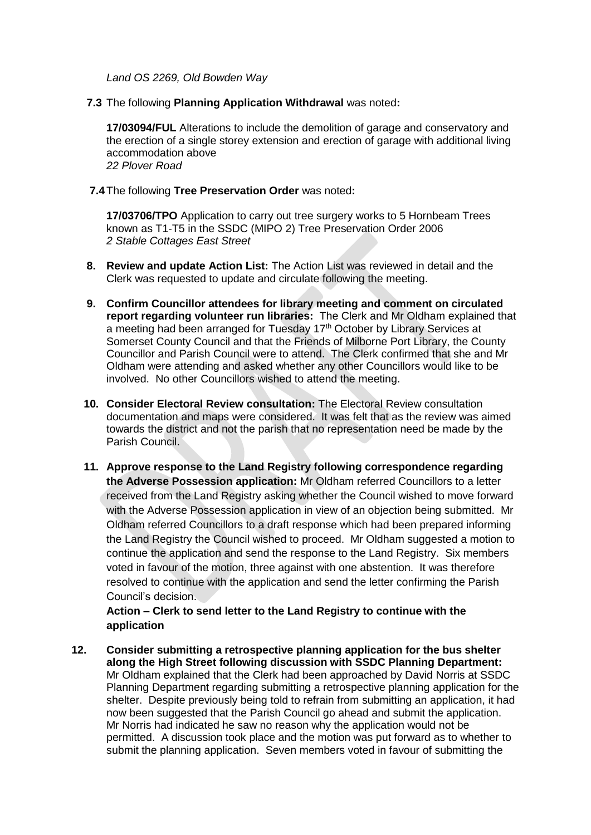*Land OS 2269, Old Bowden Way*

 **7.3** The following **Planning Application Withdrawal** was noted**:**

**17/03094/FUL** Alterations to include the demolition of garage and conservatory and the erection of a single storey extension and erection of garage with additional living accommodation above *22 Plover Road*

 **7.4**The following **Tree Preservation Order** was noted**:**

**17/03706/TPO** Application to carry out tree surgery works to 5 Hornbeam Trees known as T1-T5 in the SSDC (MIPO 2) Tree Preservation Order 2006 *2 Stable Cottages East Street*

- **8. Review and update Action List:** The Action List was reviewed in detail and the Clerk was requested to update and circulate following the meeting.
- **9. Confirm Councillor attendees for library meeting and comment on circulated report regarding volunteer run libraries:** The Clerk and Mr Oldham explained that a meeting had been arranged for Tuesday 17<sup>th</sup> October by Library Services at Somerset County Council and that the Friends of Milborne Port Library, the County Councillor and Parish Council were to attend. The Clerk confirmed that she and Mr Oldham were attending and asked whether any other Councillors would like to be involved. No other Councillors wished to attend the meeting.
- **10. Consider Electoral Review consultation:** The Electoral Review consultation documentation and maps were considered. It was felt that as the review was aimed towards the district and not the parish that no representation need be made by the Parish Council.
- **11. Approve response to the Land Registry following correspondence regarding the Adverse Possession application:** Mr Oldham referred Councillors to a letter received from the Land Registry asking whether the Council wished to move forward with the Adverse Possession application in view of an objection being submitted. Mr Oldham referred Councillors to a draft response which had been prepared informing the Land Registry the Council wished to proceed. Mr Oldham suggested a motion to continue the application and send the response to the Land Registry. Six members voted in favour of the motion, three against with one abstention. It was therefore resolved to continue with the application and send the letter confirming the Parish Council's decision.

**Action – Clerk to send letter to the Land Registry to continue with the application**

**12. Consider submitting a retrospective planning application for the bus shelter along the High Street following discussion with SSDC Planning Department:**  Mr Oldham explained that the Clerk had been approached by David Norris at SSDC Planning Department regarding submitting a retrospective planning application for the shelter. Despite previously being told to refrain from submitting an application, it had now been suggested that the Parish Council go ahead and submit the application. Mr Norris had indicated he saw no reason why the application would not be permitted. A discussion took place and the motion was put forward as to whether to submit the planning application. Seven members voted in favour of submitting the